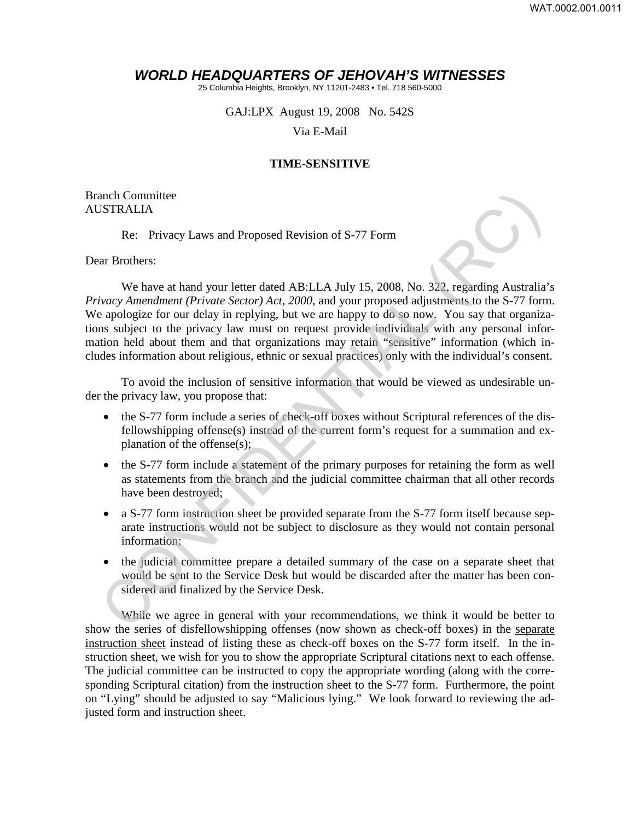## *WORLD HEADQUARTERS OF JEHOVAH'S WITNESSES*

25 Columbia Heights, Brooklyn, NY 11201-2483 • Tel. 718 560-5000

GAJ:LPX August 19, 2008 No. 542S

Via E-Mail

## **TIME-SENSITIVE**

Branch Committee AUSTRALIA

Re: Privacy Laws and Proposed Revision of S-77 Form

Dear Brothers:

We have at hand your letter dated AB:LLA July 15, 2008, No. 322, regarding Australia's *Privacy Amendment (Private Sector) Act, 2000*, and your proposed adjustments to the S-77 form. We apologize for our delay in replying, but we are happy to do so now. You say that organizations subject to the privacy law must on request provide individuals with any personal information held about them and that organizations may retain "sensitive" information (which includes information about religious, ethnic or sexual practices) only with the individual's consent. STRALIA<br>
Re: Privacy Laws and Proposed Revision of S-77 Form<br>
Re: Privacy Laws and Proposed Revision of S-77 Form<br>
The Bave at hand your letter dated AB:LLA July 15, 2008, No. 322, regarding Australia<br>
Were Mevare at hand

To avoid the inclusion of sensitive information that would be viewed as undesirable under the privacy law, you propose that:

- the S-77 form include a series of check-off boxes without Scriptural references of the disfellowshipping offense(s) instead of the current form's request for a summation and explanation of the offense(s);
- the S-77 form include a statement of the primary purposes for retaining the form as well as statements from the branch and the judicial committee chairman that all other records have been destroyed;
- a S-77 form instruction sheet be provided separate from the S-77 form itself because separate instructions would not be subject to disclosure as they would not contain personal information;
- the judicial committee prepare a detailed summary of the case on a separate sheet that would be sent to the Service Desk but would be discarded after the matter has been considered and finalized by the Service Desk.

While we agree in general with your recommendations, we think it would be better to show the series of disfellowshipping offenses (now shown as check-off boxes) in the separate instruction sheet instead of listing these as check-off boxes on the S-77 form itself. In the instruction sheet, we wish for you to show the appropriate Scriptural citations next to each offense. The judicial committee can be instructed to copy the appropriate wording (along with the corresponding Scriptural citation) from the instruction sheet to the S-77 form. Furthermore, the point on "Lying" should be adjusted to say "Malicious lying." We look forward to reviewing the adjusted form and instruction sheet.